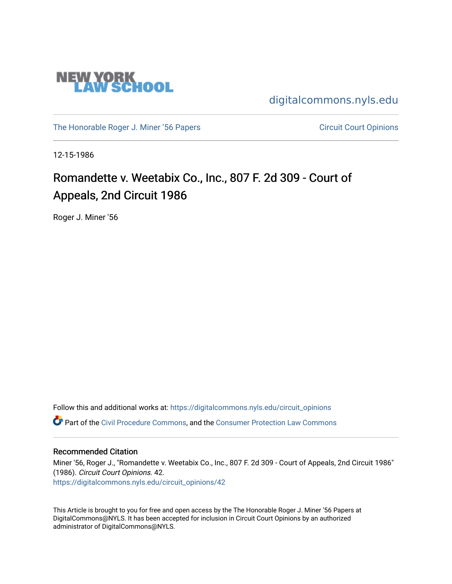

[digitalcommons.nyls.edu](https://digitalcommons.nyls.edu/) 

[The Honorable Roger J. Miner '56 Papers](https://digitalcommons.nyls.edu/miner_papers) Circuit Court Opinions

12-15-1986

# Romandette v. Weetabix Co., Inc., 807 F. 2d 309 - Court of Appeals, 2nd Circuit 1986

Roger J. Miner '56

Follow this and additional works at: [https://digitalcommons.nyls.edu/circuit\\_opinions](https://digitalcommons.nyls.edu/circuit_opinions?utm_source=digitalcommons.nyls.edu%2Fcircuit_opinions%2F42&utm_medium=PDF&utm_campaign=PDFCoverPages)  Part of the [Civil Procedure Commons,](http://network.bepress.com/hgg/discipline/584?utm_source=digitalcommons.nyls.edu%2Fcircuit_opinions%2F42&utm_medium=PDF&utm_campaign=PDFCoverPages) and the [Consumer Protection Law Commons](http://network.bepress.com/hgg/discipline/838?utm_source=digitalcommons.nyls.edu%2Fcircuit_opinions%2F42&utm_medium=PDF&utm_campaign=PDFCoverPages)

## Recommended Citation

Miner '56, Roger J., "Romandette v. Weetabix Co., Inc., 807 F. 2d 309 - Court of Appeals, 2nd Circuit 1986" (1986). Circuit Court Opinions. 42. [https://digitalcommons.nyls.edu/circuit\\_opinions/42](https://digitalcommons.nyls.edu/circuit_opinions/42?utm_source=digitalcommons.nyls.edu%2Fcircuit_opinions%2F42&utm_medium=PDF&utm_campaign=PDFCoverPages)

This Article is brought to you for free and open access by the The Honorable Roger J. Miner '56 Papers at DigitalCommons@NYLS. It has been accepted for inclusion in Circuit Court Opinions by an authorized administrator of DigitalCommons@NYLS.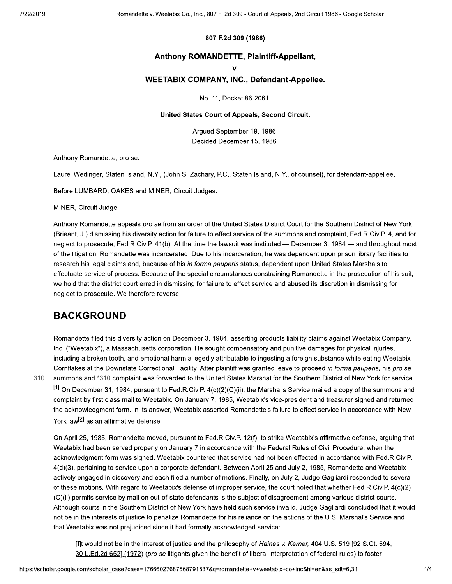#### 807 F.2d 309 (1986)

## Anthony ROMANDETTE, Plaintiff-Appellant,

v.

## **WEETABIX COMPANY, INC., Defendant-Appellee.**

No. 11, Docket 86-2061.

#### United States Court of Appeals, Second Circuit.

Arqued September 19, 1986. Decided December 15, 1986.

Anthony Romandette, pro se.

Laurel Wedinger, Staten Island, N.Y., (John S. Zachary, P.C., Staten Island, N.Y., of counsel), for defendant-appellee.

Before LUMBARD, OAKES and MINER, Circuit Judges.

MINER, Circuit Judge:

Anthony Romandette appeals pro se from an order of the United States District Court for the Southern District of New York (Brieant, J.) dismissing his diversity action for failure to effect service of the summons and complaint, Fed.R.Civ.P. 4, and for neglect to prosecute, Fed.R.Civ.P. 41(b). At the time the lawsuit was instituted — December 3, 1984 — and throughout most of the litigation, Romandette was incarcerated. Due to his incarceration, he was dependent upon prison library facilities to research his legal claims and, because of his in forma pauperis status, dependent upon United States Marshals to effectuate service of process. Because of the special circumstances constraining Romandette in the prosecution of his suit, we hold that the district court erred in dismissing for failure to effect service and abused its discretion in dismissing for neglect to prosecute. We therefore reverse.

# **BACKGROUND**

310

Romandette filed this diversity action on December 3, 1984, asserting products liability claims against Weetabix Company, Inc. ("Weetabix"), a Massachusetts corporation. He sought compensatory and punitive damages for physical injuries, including a broken tooth, and emotional harm allegedly attributable to ingesting a foreign substance while eating Weetabix Cornflakes at the Downstate Correctional Facility. After plaintiff was granted leave to proceed in forma pauperis, his pro se summons and \*310 complaint was forwarded to the United States Marshal for the Southern District of New York for service. [1] On December 31, 1984, pursuant to Fed.R.Civ.P. 4(c)(2)(C)(ii), the Marshal's Service mailed a copy of the summons and complaint by first class mail to Weetabix. On January 7, 1985, Weetabix's vice-president and treasurer signed and returned the acknowledgment form. In its answer, Weetabix asserted Romandette's failure to effect service in accordance with New York law<sup>[2]</sup> as an affirmative defense.

On April 25, 1985, Romandette moved, pursuant to Fed.R.Civ.P. 12(f), to strike Weetabix's affirmative defense, arguing that Weetabix had been served properly on January 7 in accordance with the Federal Rules of Civil Procedure, when the acknowledgment form was signed. Weetabix countered that service had not been effected in accordance with Fed.R.Civ.P. 4(d)(3), pertaining to service upon a corporate defendant. Between April 25 and July 2, 1985, Romandette and Weetabix actively engaged in discovery and each filed a number of motions. Finally, on July 2, Judge Gagliardi responded to several of these motions. With regard to Weetabix's defense of improper service, the court noted that whether Fed.R.Civ.P. 4(c)(2) (C)(ii) permits service by mail on out-of-state defendants is the subject of disagreement among various district courts. Although courts in the Southern District of New York have held such service invalid, Judge Gagliardi concluded that it would not be in the interests of justice to penalize Romandette for his reliance on the actions of the U.S. Marshal's Service and that Weetabix was not prejudiced since it had formally acknowledged service:

[I]t would not be in the interest of justice and the philosophy of Haines v. Kerner, 404 U.S. 519 [92 S.Ct. 594, 30 L.Ed.2d 652] (1972) (pro se litigants given the benefit of liberal interpretation of federal rules) to foster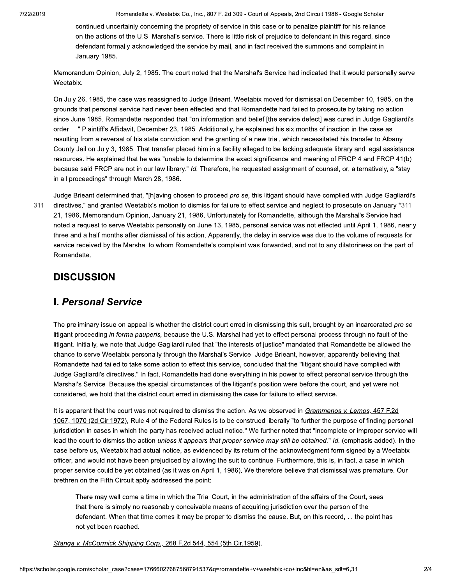Romandette v. Weetabix Co., Inc., 807 F. 2d 309 - Court of Appeals, 2nd Circuit 1986 - Google Scholar

continued uncertainly concerning the propriety of service in this case or to penalize plaintiff for his reliance on the actions of the U.S. Marshal's service. There is little risk of prejudice to defendant in this regard, since defendant formally acknowledged the service by mail, and in fact received the summons and complaint in January 1985.

Memorandum Opinion, July 2, 1985. The court noted that the Marshal's Service had indicated that it would personally serve Weetabix.

On July 26, 1985, the case was reassigned to Judge Brieant. Weetabix moved for dismissal on December 10, 1985, on the grounds that personal service had never been effected and that Romandette had failed to prosecute by taking no action since June 1985. Romandette responded that "on information and belief [the service defect] was cured in Judge Gagliardi's order. ..." Plaintiff's Affidavit, December 23, 1985. Additionally, he explained his six months of inaction in the case as resulting from a reversal of his state conviction and the granting of a new trial, which necessitated his transfer to Albany County Jail on July 3, 1985. That transfer placed him in a facility alleged to be lacking adequate library and legal assistance resources. He explained that he was "unable to determine the exact significance and meaning of FRCP 4 and FRCP 41(b) because said FRCP are not in our law library." Id. Therefore, he requested assignment of counsel, or, alternatively, a "stay in all proceedings" through March 28, 1986.

311

Judge Brieant determined that, "[h]aving chosen to proceed pro se, this litigant should have complied with Judge Gagliardi's directives," and granted Weetabix's motion to dismiss for failure to effect service and neglect to prosecute on January \*311 21, 1986. Memorandum Opinion, January 21, 1986. Unfortunately for Romandette, although the Marshal's Service had noted a request to serve Weetabix personally on June 13, 1985, personal service was not effected until April 1, 1986, nearly three and a half months after dismissal of his action. Apparently, the delay in service was due to the volume of requests for service received by the Marshal to whom Romandette's complaint was forwarded, and not to any dilatoriness on the part of Romandette.

# **DISCUSSION**

# **I. Personal Service**

The preliminary issue on appeal is whether the district court erred in dismissing this suit, brought by an incarcerated pro se litigant proceeding in forma pauperis, because the U.S. Marshal had yet to effect personal process through no fault of the litigant. Initially, we note that Judge Gagliardi ruled that "the interests of justice" mandated that Romandette be allowed the chance to serve Weetabix personally through the Marshal's Service, Judge Brieant, however, apparently believing that Romandette had failed to take some action to effect this service, concluded that the "litigant should have complied with Judge Gagliardi's directives." In fact, Romandette had done everything in his power to effect personal service through the Marshal's Service. Because the special circumstances of the litigant's position were before the court, and yet were not considered, we hold that the district court erred in dismissing the case for failure to effect service.

It is apparent that the court was not required to dismiss the action. As we observed in Grammenos v. Lemos, 457 F.2d 1067, 1070 (2d Cir.1972), Rule 4 of the Federal Rules is to be construed liberally "to further the purpose of finding personal jurisdiction in cases in which the party has received actual notice." We further noted that "incomplete or improper service will lead the court to dismiss the action unless it appears that proper service may still be obtained." Id. (emphasis added). In the case before us, Weetabix had actual notice, as evidenced by its return of the acknowledgment form signed by a Weetabix officer, and would not have been prejudiced by allowing the suit to continue. Furthermore, this is, in fact, a case in which proper service could be yet obtained (as it was on April 1, 1986). We therefore believe that dismissal was premature. Our brethren on the Fifth Circuit aptly addressed the point:

There may well come a time in which the Trial Court, in the administration of the affairs of the Court, sees that there is simply no reasonably conceivable means of acquiring jurisdiction over the person of the defendant. When that time comes it may be proper to dismiss the cause. But, on this record, ... the point has not yet been reached.

Stanga v. McCormick Shipping Corp., 268 F.2d 544, 554 (5th Cir.1959).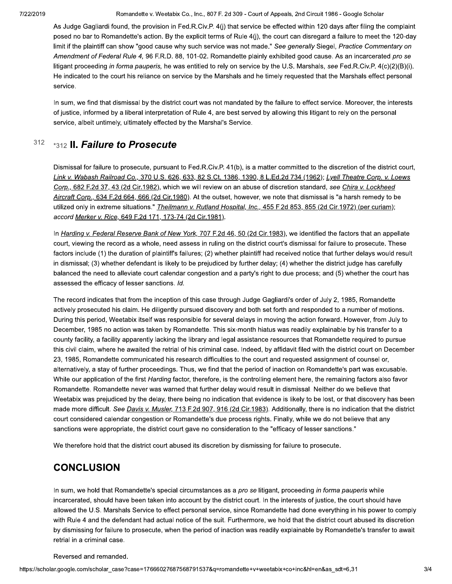Romandette v. Weetabix Co., Inc., 807 F. 2d 309 - Court of Appeals, 2nd Circuit 1986 - Google Scholar

As Judge Gagliardi found, the provision in Fed.R.Civ.P. 4(j) that service be effected within 120 days after filing the complaint posed no bar to Romandette's action. By the explicit terms of Rule 4(j), the court can disregard a failure to meet the 120-day limit if the plaintiff can show "good cause why such service was not made." See generally Siegel, Practice Commentary on Amendment of Federal Rule 4, 96 F.R.D. 88, 101-02. Romandette plainly exhibited good cause. As an incarcerated pro se litigant proceeding in forma pauperis, he was entitled to rely on service by the U.S. Marshals, see Fed.R.Civ.P. 4(c)(2)(B)(i). He indicated to the court his reliance on service by the Marshals and he timely requested that the Marshals effect personal service.

In sum, we find that dismissal by the district court was not mandated by the failure to effect service. Moreover, the interests of justice, informed by a liberal interpretation of Rule 4, are best served by allowing this litigant to rely on the personal service, albeit untimely, ultimately effected by the Marshal's Service.

#### 312 \*312 II. Failure to Prosecute

Dismissal for failure to prosecute, pursuant to Fed.R.Civ.P. 41(b), is a matter committed to the discretion of the district court, Link v. Wabash Railroad Co., 370 U.S. 626, 633, 82 S.Ct. 1386, 1390, 8 L.Ed.2d 734 (1962); Lyell Theatre Corp. v. Loews Corp., 682 F.2d 37, 43 (2d Cir.1982), which we will review on an abuse of discretion standard, see Chira v. Lockheed Aircraft Corp., 634 F.2d 664, 666 (2d Cir.1980). At the outset, however, we note that dismissal is "a harsh remedy to be utilized only in extreme situations." Theilmann v. Rutland Hospital, Inc., 455 F.2d 853, 855 (2d Cir.1972) (per curiam); accord Merker v. Rice, 649 F.2d 171, 173-74 (2d Cir.1981).

In Harding v. Federal Reserve Bank of New York, 707 F.2d 46, 50 (2d Cir.1983), we identified the factors that an appellate court, viewing the record as a whole, need assess in ruling on the district court's dismissal for failure to prosecute. These factors include (1) the duration of plaintiff's failures; (2) whether plaintiff had received notice that further delays would result in dismissal; (3) whether defendant is likely to be prejudiced by further delay; (4) whether the district judge has carefully balanced the need to alleviate court calendar congestion and a party's right to due process; and (5) whether the court has assessed the efficacy of lesser sanctions. Id.

The record indicates that from the inception of this case through Judge Gagliardi's order of July 2, 1985, Romandette actively prosecuted his claim. He diligently pursued discovery and both set forth and responded to a number of motions. During this period, Weetabix itself was responsible for several delays in moving the action forward. However, from July to December, 1985 no action was taken by Romandette. This six-month hiatus was readily explainable by his transfer to a county facility, a facility apparently lacking the library and legal assistance resources that Romandette required to pursue this civil claim, where he awaited the retrial of his criminal case. Indeed, by affidavit filed with the district court on December 23, 1985, Romandette communicated his research difficulties to the court and requested assignment of counsel or, alternatively, a stay of further proceedings. Thus, we find that the period of inaction on Romandette's part was excusable. While our application of the first Harding factor, therefore, is the controlling element here, the remaining factors also favor Romandette. Romandette never was warned that further delay would result in dismissal. Neither do we believe that Weetabix was prejudiced by the delay, there being no indication that evidence is likely to be lost, or that discovery has been made more difficult. See Davis v. Musler, 713 F.2d 907, 916 (2d Cir.1983). Additionally, there is no indication that the district court considered calendar congestion or Romandette's due process rights. Finally, while we do not believe that any sanctions were appropriate, the district court gave no consideration to the "efficacy of lesser sanctions."

We therefore hold that the district court abused its discretion by dismissing for failure to prosecute.

# **CONCLUSION**

In sum, we hold that Romandette's special circumstances as a pro se litigant, proceeding in forma pauperis while incarcerated, should have been taken into account by the district court. In the interests of justice, the court should have allowed the U.S. Marshals Service to effect personal service, since Romandette had done everything in his power to comply with Rule 4 and the defendant had actual notice of the suit. Furthermore, we hold that the district court abused its discretion by dismissing for failure to prosecute, when the period of inaction was readily explainable by Romandette's transfer to await retrial in a criminal case.